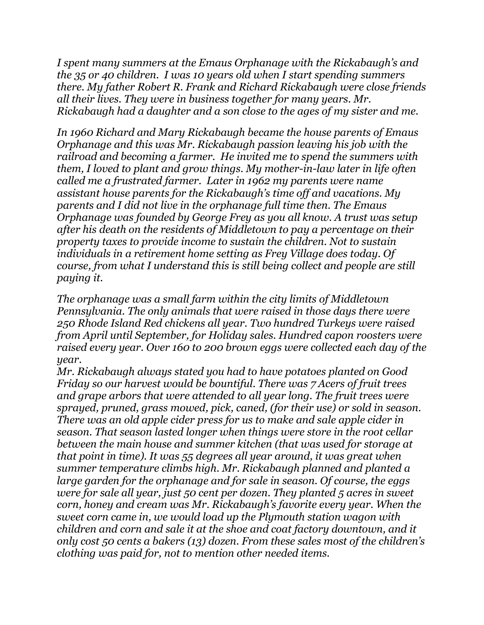*I spent many summers at the Emaus Orphanage with the Rickabaugh's and the 35 or 40 children. I was 10 years old when I start spending summers there. My father Robert R. Frank and Richard Rickabaugh were close friends all their lives. They were in business together for many years. Mr. Rickabaugh had a daughter and a son close to the ages of my sister and me.*

*In 1960 Richard and Mary Rickabaugh became the house parents of Emaus Orphanage and this was Mr. Rickabaugh passion leaving his job with the railroad and becoming a farmer. He invited me to spend the summers with them, I loved to plant and grow things. My mother-in-law later in life often called me a frustrated farmer. Later in 1962 my parents were name assistant house parents for the Rickabaugh's time off and vacations. My parents and I did not live in the orphanage full time then. The Emaus Orphanage was founded by George Frey as you all know. A trust was setup after his death on the residents of Middletown to pay a percentage on their property taxes to provide income to sustain the children. Not to sustain individuals in a retirement home setting as Frey Village does today. Of course, from what I understand this is still being collect and people are still paying it.*

*The orphanage was a small farm within the city limits of Middletown Pennsylvania. The only animals that were raised in those days there were 250 Rhode Island Red chickens all year. Two hundred Turkeys were raised from April until September, for Holiday sales. Hundred capon roosters were raised every year. Over 160 to 200 brown eggs were collected each day of the year.*

*Mr. Rickabaugh always stated you had to have potatoes planted on Good Friday so our harvest would be bountiful. There was 7 Acers of fruit trees and grape arbors that were attended to all year long. The fruit trees were sprayed, pruned, grass mowed, pick, caned, (for their use) or sold in season. There was an old apple cider press for us to make and sale apple cider in season. That season lasted longer when things were store in the root cellar between the main house and summer kitchen (that was used for storage at that point in time). It was 55 degrees all year around, it was great when summer temperature climbs high. Mr. Rickabaugh planned and planted a large garden for the orphanage and for sale in season. Of course, the eggs were for sale all year, just 50 cent per dozen. They planted 5 acres in sweet corn, honey and cream was Mr. Rickabaugh's favorite every year. When the sweet corn came in, we would load up the Plymouth station wagon with children and corn and sale it at the shoe and coat factory downtown, and it only cost 50 cents a bakers (13) dozen. From these sales most of the children's clothing was paid for, not to mention other needed items.*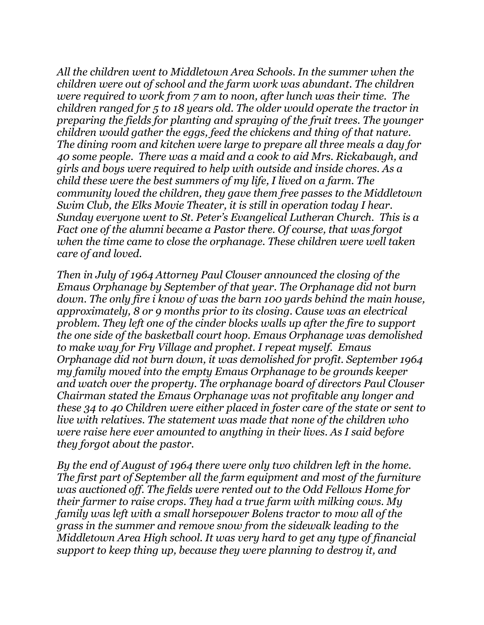*All the children went to Middletown Area Schools. In the summer when the children were out of school and the farm work was abundant. The children were required to work from 7 am to noon, after lunch was their time. The children ranged for 5 to 18 years old. The older would operate the tractor in preparing the fields for planting and spraying of the fruit trees. The younger children would gather the eggs, feed the chickens and thing of that nature. The dining room and kitchen were large to prepare all three meals a day for 40 some people. There was a maid and a cook to aid Mrs. Rickabaugh, and girls and boys were required to help with outside and inside chores. As a child these were the best summers of my life, I lived on a farm. The community loved the children, they gave them free passes to the Middletown Swim Club, the Elks Movie Theater, it is still in operation today I hear. Sunday everyone went to St. Peter's Evangelical Lutheran Church. This is a Fact one of the alumni became a Pastor there. Of course, that was forgot when the time came to close the orphanage. These children were well taken care of and loved.*

*Then in July of 1964 Attorney Paul Clouser announced the closing of the Emaus Orphanage by September of that year. The Orphanage did not burn down. The only fire i know of was the barn 100 yards behind the main house, approximately, 8 or 9 months prior to its closing. Cause was an electrical problem. They left one of the cinder blocks walls up after the fire to support the one side of the basketball court hoop. Emaus Orphanage was demolished to make way for Fry Village and prophet. I repeat myself. Emaus Orphanage did not burn down, it was demolished for profit. September 1964 my family moved into the empty Emaus Orphanage to be grounds keeper and watch over the property. The orphanage board of directors Paul Clouser Chairman stated the Emaus Orphanage was not profitable any longer and these 34 to 40 Children were either placed in foster care of the state or sent to live with relatives. The statement was made that none of the children who were raise here ever amounted to anything in their lives. As I said before they forgot about the pastor.*

*By the end of August of 1964 there were only two children left in the home. The first part of September all the farm equipment and most of the furniture was auctioned off. The fields were rented out to the Odd Fellows Home for their farmer to raise crops. They had a true farm with milking cows. My family was left with a small horsepower Bolens tractor to mow all of the grass in the summer and remove snow from the sidewalk leading to the Middletown Area High school. It was very hard to get any type of financial support to keep thing up, because they were planning to destroy it, and*